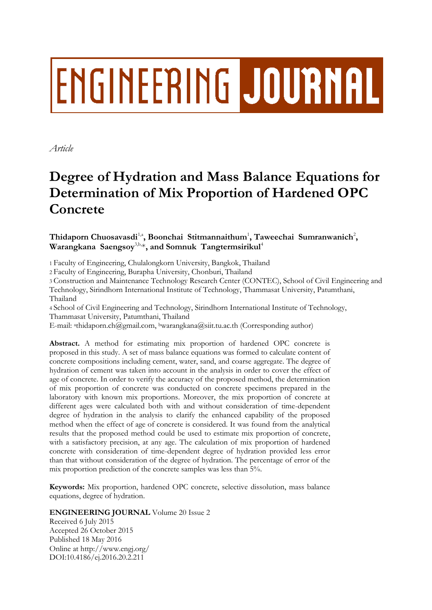# **ENGINEERING JOURNAL**

*Article*

# **Degree of Hydration and Mass Balance Equations for Determination of Mix Proportion of Hardened OPC Concrete**

 $\mathbf{T}$ hidaporn Chuosavasdi $^{1, \mathsf{a}}$ , Boonchai Stitmannaithum $^{1}$ , Taweechai Sumranwanich $^{2}$ ,  $\textbf{W}$ arangkana Saengsoy<sup>3,b,</sup>\*, and Somnuk Tangtermsirikul<sup>4</sup>

1 Faculty of Engineering, Chulalongkorn University, Bangkok, Thailand

2 Faculty of Engineering, Burapha University, Chonburi, Thailand

3 Construction and Maintenance Technology Research Center (CONTEC), School of Civil Engineering and Technology, Sirindhorn International Institute of Technology, Thammasat University, Patumthani, Thailand

4 School of Civil Engineering and Technology, Sirindhorn International Institute of Technology, Thammasat University, Patumthani, Thailand

E-mail: <sup>a</sup>thidaporn.ch@gmail.com, bwarangkana@siit.tu.ac.th (Corresponding author)

**Abstract.** A method for estimating mix proportion of hardened OPC concrete is proposed in this study. A set of mass balance equations was formed to calculate content of concrete compositions including cement, water, sand, and coarse aggregate. The degree of hydration of cement was taken into account in the analysis in order to cover the effect of age of concrete. In order to verify the accuracy of the proposed method, the determination of mix proportion of concrete was conducted on concrete specimens prepared in the laboratory with known mix proportions. Moreover, the mix proportion of concrete at different ages were calculated both with and without consideration of time-dependent degree of hydration in the analysis to clarify the enhanced capability of the proposed method when the effect of age of concrete is considered. It was found from the analytical results that the proposed method could be used to estimate mix proportion of concrete, with a satisfactory precision, at any age. The calculation of mix proportion of hardened concrete with consideration of time-dependent degree of hydration provided less error than that without consideration of the degree of hydration. The percentage of error of the mix proportion prediction of the concrete samples was less than 5%.

**Keywords:** Mix proportion, hardened OPC concrete, selective dissolution, mass balance equations, degree of hydration.

# **ENGINEERING JOURNAL** Volume 20 Issue 2

Received 6 July 2015 Accepted 26 October 2015 Published 18 May 2016 Online at http://www.engj.org/ DOI:10.4186/ej.2016.20.2.211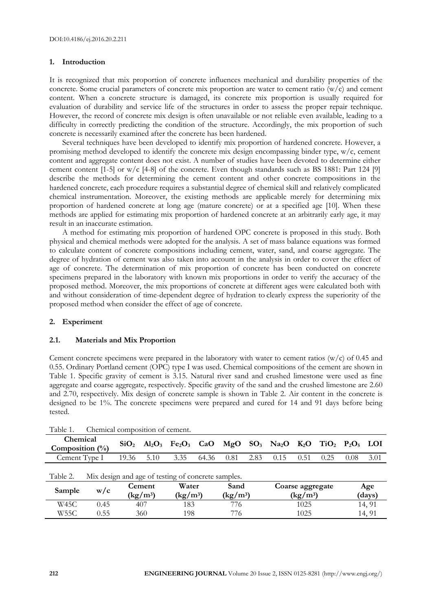# **1. Introduction**

It is recognized that mix proportion of concrete influences mechanical and durability properties of the concrete. Some crucial parameters of concrete mix proportion are water to cement ratio  $(w/c)$  and cement content. When a concrete structure is damaged, its concrete mix proportion is usually required for evaluation of durability and service life of the structures in order to assess the proper repair technique. However, the record of concrete mix design is often unavailable or not reliable even available, leading to a difficulty in correctly predicting the condition of the structure. Accordingly, the mix proportion of such concrete is necessarily examined after the concrete has been hardened.

Several techniques have been developed to identify mix proportion of hardened concrete. However, a promising method developed to identify the concrete mix design encompassing binder type, w/c, cement content and aggregate content does not exist. A number of studies have been devoted to determine either cement content [1-5] or w/c [4-8] of the concrete. Even though standards such as BS 1881: Part 124 [9] describe the methods for determining the cement content and other concrete compositions in the hardened concrete, each procedure requires a substantial degree of chemical skill and relatively complicated chemical instrumentation. Moreover, the existing methods are applicable merely for determining mix proportion of hardened concrete at long age (mature concrete) or at a specified age [10]. When these methods are applied for estimating mix proportion of hardened concrete at an arbitrarily early age, it may result in an inaccurate estimation.

A method for estimating mix proportion of hardened OPC concrete is proposed in this study. Both physical and chemical methods were adopted for the analysis. A set of mass balance equations was formed to calculate content of concrete compositions including cement, water, sand, and coarse aggregate. The degree of hydration of cement was also taken into account in the analysis in order to cover the effect of age of concrete. The determination of mix proportion of concrete has been conducted on concrete specimens prepared in the laboratory with known mix proportions in order to verify the accuracy of the proposed method. Moreover, the mix proportions of concrete at different ages were calculated both with and without consideration of time-dependent degree of hydration to clearly express the superiority of the proposed method when consider the effect of age of concrete.

# **2. Experiment**

#### **2.1. Materials and Mix Proportion**

Cement concrete specimens were prepared in the laboratory with water to cement ratios  $(w/c)$  of 0.45 and 0.55. Ordinary Portland cement (OPC) type I was used. Chemical compositions of the cement are shown in Table 1. Specific gravity of cement is 3.15. Natural river sand and crushed limestone were used as fine aggregate and coarse aggregate, respectively. Specific gravity of the sand and the crushed limestone are 2.60 and 2.70, respectively. Mix design of concrete sample is shown in Table 2. Air content in the concrete is designed to be 1%. The concrete specimens were prepared and cured for 14 and 91 days before being tested.

| Chemical composition of cement.<br>Table 1. |                                                    |                  |            |                                         |            |                                        |      |                                                    |        |      |                   |      |
|---------------------------------------------|----------------------------------------------------|------------------|------------|-----------------------------------------|------------|----------------------------------------|------|----------------------------------------------------|--------|------|-------------------|------|
| Chemical<br>Composition $(\%)$              |                                                    | SiO <sub>2</sub> |            | $Al_2O_3$ $Fe_2O_3$                     | <b>CaO</b> | MgO                                    |      | $SO_3$ $Na_2O$                                     | $K_2O$ |      | $TiO2$ $P2O5$ LOI |      |
| Cement Type I                               |                                                    | 19.36            | 5.10       | 3.35                                    | 64.36      | 0.81                                   | 2.83 | 0.15                                               | 0.51   | 0.25 | 0.08              | 3.01 |
| Table 2.                                    | Mix design and age of testing of concrete samples. |                  |            |                                         |            |                                        |      |                                                    |        |      |                   |      |
| Sample                                      | Cement<br>w/c<br>$\frac{\text{kg}}{\text{m}^3}$    |                  |            | Water<br>$\frac{\text{kg}}{\text{m}^3}$ |            | Sand<br>$\frac{\text{kg}}{\text{m}^3}$ |      | Coarse aggregate<br>$\frac{\text{kg}}{\text{m}^3}$ |        |      | Age<br>(days)     |      |
| W45C                                        | 0.45                                               | 407              |            | 183                                     |            | 776                                    |      | 1025                                               |        |      | 14, 91            |      |
| W55C                                        | 0.55<br>360                                        |                  | 198<br>776 |                                         |            | 1025                                   |      | 14, 91                                             |        |      |                   |      |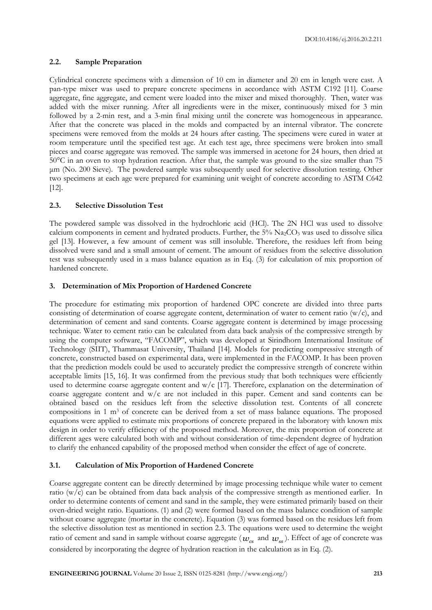# **2.2. Sample Preparation**

Cylindrical concrete specimens with a dimension of 10 cm in diameter and 20 cm in length were cast. A pan-type mixer was used to prepare concrete specimens in accordance with ASTM C192 [11]. Coarse aggregate, fine aggregate, and cement were loaded into the mixer and mixed thoroughly. Then, water was added with the mixer running. After all ingredients were in the mixer, continuously mixed for 3 min followed by a 2-min rest, and a 3-min final mixing until the concrete was homogeneous in appearance. After that the concrete was placed in the molds and compacted by an internal vibrator. The concrete specimens were removed from the molds at 24 hours after casting. The specimens were cured in water at room temperature until the specified test age. At each test age, three specimens were broken into small pieces and coarse aggregate was removed. The sample was immersed in acetone for 24 hours, then dried at 50°C in an oven to stop hydration reaction. After that, the sample was ground to the size smaller than 75 μm (No. 200 Sieve). The powdered sample was subsequently used for selective dissolution testing. Other two specimens at each age were prepared for examining unit weight of concrete according to ASTM C642 [12].

#### **2.3. Selective Dissolution Test**

The powdered sample was dissolved in the hydrochloric acid (HCl). The 2N HCl was used to dissolve calcium components in cement and hydrated products. Further, the 5% Na<sub>2</sub>CO<sub>3</sub> was used to dissolve silica gel [13]. However, a few amount of cement was still insoluble. Therefore, the residues left from being dissolved were sand and a small amount of cement. The amount of residues from the selective dissolution test was subsequently used in a mass balance equation as in Eq. (3) for calculation of mix proportion of hardened concrete.

# **3. Determination of Mix Proportion of Hardened Concrete**

The procedure for estimating mix proportion of hardened OPC concrete are divided into three parts consisting of determination of coarse aggregate content, determination of water to cement ratio  $(w/c)$ , and determination of cement and sand contents. Coarse aggregate content is determined by image processing technique. Water to cement ratio can be calculated from data back analysis of the compressive strength by using the computer software, "FACOMP", which was developed at Sirindhorn International Institute of Technology (SIIT), Thammasat University, Thailand [14]. Models for predicting compressive strength of concrete, constructed based on experimental data, were implemented in the FACOMP. It has been proven that the prediction models could be used to accurately predict the compressive strength of concrete within acceptable limits [15, 16]. It was confirmed from the previous study that both techniques were efficiently used to determine coarse aggregate content and  $w/c$  [17]. Therefore, explanation on the determination of coarse aggregate content and  $w/c$  are not included in this paper. Cement and sand contents can be obtained based on the residues left from the selective dissolution test. Contents of all concrete compositions in 1  $\text{m}^3$  of concrete can be derived from a set of mass balance equations. The proposed equations were applied to estimate mix proportions of concrete prepared in the laboratory with known mix design in order to verify efficiency of the proposed method. Moreover, the mix proportion of concrete at different ages were calculated both with and without consideration of time-dependent degree of hydration to clarify the enhanced capability of the proposed method when consider the effect of age of concrete.

# **3.1. Calculation of Mix Proportion of Hardened Concrete**

Coarse aggregate content can be directly determined by image processing technique while water to cement ratio (w/c) can be obtained from data back analysis of the compressive strength as mentioned earlier. In order to determine contents of cement and sand in the sample, they were estimated primarily based on their oven-dried weight ratio. Equations. (1) and (2) were formed based on the mass balance condition of sample without coarse aggregate (mortar in the concrete). Equation (3) was formed based on the residues left from the selective dissolution test as mentioned in section 2.3. The equations were used to determine the weight ratio of cement and sand in sample without coarse aggregate (  $w_{cs}$  and  $w_{ss}$  ). Effect of age of concrete was considered by incorporating the degree of hydration reaction in the calculation as in Eq. (2).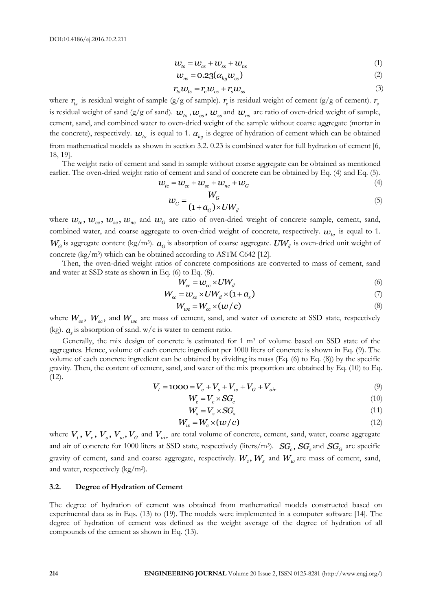$$
w_{ts} = w_{cs} + w_{ss} + w_{ns}
$$
 (1)

$$
w_{ns} = 0.23(\alpha_{hy}^{\text{w}} w_{cs})
$$
 (2)

$$
r_{ts}\omega_{ts} = r_c\omega_{cs} + r_s\omega_{ss}
$$
 (3)

where  $r_{ts}$  is residual weight of sample (g/g of sample).  $r_c$  is residual weight of cement (g/g of cement).  $r_s$ is residual weight of sand (g/g of sand).  $w_{ts}$  ,  $w_{cs}$ ,  $w_{ss}$  and  $w_{ns}$  are ratio of oven-dried weight of sample, cement, sand, and combined water to oven-dried weight of the sample without coarse aggregate (mortar in the concrete), respectively.  $w_{ts}$  is equal to 1.  $\alpha_{hy}$  is degree of hydration of cement which can be obtained from mathematical models as shown in section 3.2. 0.23 is combined water for full hydration of cement [6, 18, 19].

The weight ratio of cement and sand in sample without coarse aggregate can be obtained as mentioned earlier. The oven-dried weight ratio of cement and sand of concrete can be obtained by Eq. (4) and Eq. (5).<br>  $w_{tc} = w_{cc} + w_{sc} + w_{nc} + w_G$  (4)

$$
\mathcal{W}_{tc} = \mathcal{W}_{cc} + \mathcal{W}_{sc} + \mathcal{W}_{nc} + \mathcal{W}_{G}
$$
\n<sup>(4)</sup>

$$
w_G = \frac{W_G}{(1 + a_G) \times UW_d} \tag{5}
$$

where  $w_x$ ,  $w_x$ ,  $w_{sc}$ ,  $w_n$  and  $w_G$  are ratio of oven-dried weight of concrete sample, cement, sand, combined water, and coarse aggregate to oven-dried weight of concrete, respectively.  $w_{tc}$  is equal to 1.  $W_G$  is aggregate content (kg/m<sup>3</sup>).  $a_G$  is absorption of coarse aggregate.  $UW_d$  is oven-dried unit weight of concrete (kg/m<sup>3</sup> ) which can be obtained according to ASTM C642 [12].

Then, the oven-dried weight ratios of concrete compositions are converted to mass of cement, sand and water at SSD state as shown in Eq. (6) to Eq. (8).

$$
W_{cc} = w_{cc} \times UW_d \tag{6}
$$

$$
W_{cc} = W_{cc} \times UV_{d}
$$
  
\n
$$
W_{sc} = W_{sc} \times UW_{d} \times (1 + a_{s})
$$
\n(7)

$$
W_{wc} = W_{cc} \times (w/c)
$$
 (8)

where  $W_{cc}$ ,  $W_{sc}$ , and  $W_{wc}$  are mass of cement, sand, and water of concrete at SSD state, respectively (kg).  $a_s$  is absorption of sand. w/c is water to cement ratio.

Generally, the mix design of concrete is estimated for  $1 \text{ m}^3$  of volume based on SSD state of the aggregates. Hence, volume of each concrete ingredient per 1000 liters of concrete is shown in Eq. (9). The volume of each concrete ingredient can be obtained by dividing its mass (Eq. (6) to Eq. (8)) by the specific gravity. Then, the content of cement, sand, and water of the mix proportion are obtained by Eq. (10) to Eq.  $(12)$ . *V<sub>t</sub>* = 1000 =  $V_c + V_s + V_w + V_G + V_{air}$  (9)

$$
V_t = 1000 = V_c + V_s + V_w + V_G + V_{air}
$$
\n<sup>(9)</sup>

$$
W_c = V_c \times SG_c \tag{10}
$$

$$
W_s = V_s \times SG_s \tag{11}
$$

$$
W_w = W_c \times (w/c) \tag{12}
$$

where  $V_t$ ,  $V_c$ ,  $V_s$ ,  $V_w$ ,  $V_G$  and  $V_{air}$  are total volume of concrete, cement, sand, water, coarse aggregate and air of concrete for 1000 liters at SSD state, respectively (liters/m<sup>3</sup>).  $SG_c$ ,  $SG_s$  and  $SG_G$  are specific gravity of cement, sand and coarse aggregate, respectively.  $W_c$ ,  $W_s$  and  $W_w$  are mass of cement, sand, and water, respectively (kg/m<sup>3</sup>).

#### **3.2. Degree of Hydration of Cement**

The degree of hydration of cement was obtained from mathematical models constructed based on experimental data as in Eqs. (13) to (19). The models were implemented in a computer software [14]. The degree of hydration of cement was defined as the weight average of the degree of hydration of all compounds of the cement as shown in Eq. (13).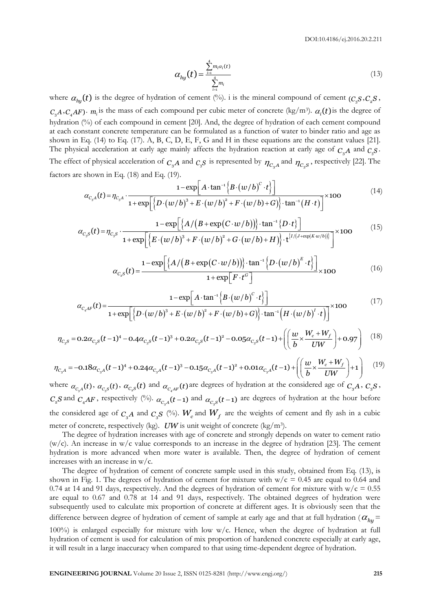$$
\alpha_{hy}(t) = \frac{\sum_{i=1}^{4} m_i \alpha_i(t)}{\sum_{i=1}^{4} m_i}
$$
\n(13)

where  $\alpha_{hy}(t)$  is the degree of hydration of cement (%). i is the mineral compound of cement ( $c_{3}s$ , $c_{2}s$ ,  $C_3A$ ,  $C_4AF$ ).  $m_i$  is the mass of each compound per cubic meter of concrete (kg/m<sup>3</sup>).  $\alpha_i(t)$  is the degree of hydration (%) of each compound in cement [20]. And, the degree of hydration of each cement compound at each constant concrete temperature can be formulated as a function of water to binder ratio and age as shown in Eq. (14) to Eq. (17). A, B, C, D, E, F, G and H in these equations are the constant values [21]. The physical acceleration at early age mainly affects the hydration reaction at early age of  $C_3A$  and  $C_3S$ . The effect of physical acceleration of  $C_3A$  and  $C_3S$  is represented by  $\eta_{C_3A}$  and  $\eta_{C_3S}$ , respectively [22]. The factors are shown in Eq. (18) and Eq. (19). A and  $C_3S$  is represented<br>  $1 - \exp\left[A \cdot \tan^{-1}\left\{\frac{B \cdot (w)}{w}\right\}\right]$ *S* is represented by  $\eta$ <br>*A*  $\tan^{-1}\left\{B\cdot(w/b)^C\cdot t\right\}$ 

\n The equation is a acceleration of the equation 
$$
C_3 A
$$
 and  $C_3 S$ .\n

\n\n The equation is given by the equation  $C_3 A$  and  $C_3 S$  is represented by  $\eta_{C_3 A}$  and  $\eta_{C_3 S}$ , respectively [22]. The equation is shown in Eq. (18) and Eq. (19).\n

\n\n
$$
\alpha_{C_3 A}(t) = \eta_{C_3 A} \cdot \frac{1 - \exp\left[A \cdot \tan^{-1}\left\{B \cdot \left(\frac{w}{b}\right)^c \cdot t\right\}\right]}{1 + \exp\left[\left\{D \cdot \left(\frac{w}{b}\right)^3 + E \cdot \left(\frac{w}{b}\right)^2 + F \cdot \left(\frac{w}{b}\right) + G\right\}\right] \cdot \tan^{-1}\left(H \cdot t\right)\right]} \times 100
$$
\n

\n\n The equation is given by the equation  $\alpha_{C_3 A}(t) = \eta_{C_3 A} \cdot \frac{1 - \exp\left[\left\{A \cdot \left(B + \exp\left(C \cdot w/b\right)\right)\right\} \cdot \tan^{-1}\left\{D \cdot t\right\}\right]}{1 - \exp\left[\left\{A \cdot \left(B + \exp\left(C \cdot w/b\right)\right)\right\} \cdot \tan^{-1}\left\{D \cdot t\right\}\right]} \times 100$ \n

\n\n The equation is given by the equation  $\alpha_{C_3 A}(t) = \eta_{C_3 A} \cdot \frac{1 - \exp\left[\left\{A \cdot \left(B + \exp\left(C \cdot w/b\right)\right)\right\} \cdot \tan^{-1}\left\{D \cdot t\right\}\right]}{1 + \exp\left\{\left\{B \cdot \left(\frac{w}{b}\right)^3 + F \cdot \left(\frac{w}{b}\right)^2 + G \cdot \left(\frac{w}{b}\right) + H\right\}\right\} \cdot \left\{\frac{I^{\{1/(J + \exp\left(K \cdot w/b)\}\right)}}{1 + \exp\left\{\left(K \cdot \left(\frac{w}{b}\right)^3 + F \cdot \left(\frac{w}{b}\right)^2 + G \cdot \left(\frac{w}{b}\right) + H\right\}\right\} \cdot \left\{\frac{I^{\{1/(J + \exp\left(K \cdot w/b)\}\right)}}{1 + \$ 

$$
\alpha_{C_3A}(t) = \eta_{C_3A} \cdot \frac{1 - \exp\left[A \cdot \tan^{-1}\left\{B \cdot (w/b)^c \cdot t\right\}\right]}{1 + \exp\left[\left\{D \cdot (w/b)^3 + E \cdot (w/b)^2 + F \cdot (w/b) + G\right\}\right] \cdot \tan^{-1}(H \cdot t)\right]} \times 100
$$
\n
$$
\alpha_{C_3S}(t) = \eta_{C_3S} \cdot \frac{1 - \exp\left[\left\{A/\left(B + \exp(C \cdot w/b)\right)\right\} \cdot \tan^{-1}\left\{D \cdot t\right\}\right]}{1 + \exp\left[\left\{E \cdot (w/b)^3 + F \cdot (w/b)^2 + G \cdot (w/b) + H\right\}\right] \cdot t^{\left\{I/(J + \exp(K \cdot w/b))\right\}}}\right]} \times 100
$$
\n
$$
\alpha_{C_3S}(t) = \frac{1 - \exp\left[\left\{A/\left(B + \exp(C \cdot w/b)\right)\right\} \cdot \tan^{-1}\left\{D \cdot (w/b)^E \cdot t\right\}\right]}{1 + \exp\left[\left\{A/\left(B + \exp(C \cdot w/b)\right)\right\} \cdot \tan^{-1}\left\{D \cdot (w/b)^E \cdot t\right\}\right]} \times 100
$$
\n(16)

$$
c_{s}^{2} \cdot \frac{1 + \exp\left[\left\{E\cdot(w/b)^{3} + F\cdot(w/b)^{2} + G\cdot(w/b) + H\right\}\right] \cdot t^{\left\{I/\left(J+\exp(K\cdot w/b)\right)\right\}}}{1 + \exp\left[F\cdot t^{c}\right]}
$$
  
\n
$$
\alpha_{c_{s}}(t) = \frac{1 - \exp\left[\left\{A/\left(B + \exp(C\cdot w/b)\right)\right\} \cdot \tan^{-1}\left\{D\cdot(w/b)^{E}\cdot t\right\}\right]}{1 + \exp\left[F\cdot t^{c}\right]}
$$
  
\n
$$
\frac{1 - \exp\left[A\cdot \tan^{-1}\left\{B\cdot(w/b)^{C}\cdot t\right\}\right]}{1 + \exp\left[A\cdot \tan^{-1}\left\{B\cdot(w/b)^{C}\cdot t\right\}\right]} \times 100}
$$
\n(17)

$$
\alpha_{C_2S}(t) = \frac{1 - \exp\left[\left\{A/\left(B + \exp(C \cdot w/b)\right)\right\} \cdot \tan^{-1}\left\{D \cdot (w/b)^E \cdot t\right\}\right]}{1 + \exp\left[F \cdot t^G\right]} \times 100
$$
(16)  

$$
\alpha_{C_4AF}(t) = \frac{1 - \exp\left[A \cdot \tan^{-1}\left\{B \cdot (w/b)^C \cdot t\right\}\right]}{1 + \exp\left[\left\{D \cdot (w/b)^3 + E \cdot (w/b)^2 + F \cdot (w/b) + G\right\} \cdot \tan^{-1}\left(H \cdot (w/b)^I \cdot t\right)\right]} \times 100
$$
(17)  

$$
\eta_{C_3S} = 0.2\alpha_{C_3S}(t - 1)^4 - 0.4\alpha_{C_3S}(t - 1)^3 + 0.2\alpha_{C_3S}(t - 1)^2 - 0.05\alpha_{C_3S}(t - 1) + \left(\left(\frac{w}{b} \times \frac{W_c + W_f}{UW}\right) + 0.97\right)
$$
(18)

$$
\alpha_{C_4AF}(t) = \frac{1 - \exp[A \cdot \tan^{-1}\left\{B \cdot (w/b)^{\circ} \cdot t\right\}]}{1 + \exp\left[\left\{D \cdot (w/b)^3 + E \cdot (w/b)^2 + F \cdot (w/b) + G\right\} \cdot \tan^{-1}\left(H \cdot (w/b)^{t} \cdot t\right)\right]} \times 100
$$
(17)  

$$
\eta_{C_3S} = 0.2 \alpha_{C_3S}(t-1)^4 - 0.4 \alpha_{C_3S}(t-1)^3 + 0.2 \alpha_{C_3S}(t-1)^2 - 0.05 \alpha_{C_3S}(t-1) + \left(\left(\frac{w}{b} \times \frac{W_c + W_f}{UW}\right) + 0.97\right)
$$
(18)  

$$
\eta_{C_3A} = -0.18 \alpha_{C_3A}(t-1)^4 + 0.24 \alpha_{C_3A}(t-1)^3 - 0.15 \alpha_{C_3A}(t-1)^2 + 0.01 \alpha_{C_3A}(t-1) + \left(\left(\frac{w}{b} \times \frac{W_c + W_f}{UW}\right) + 1\right)
$$
(19)  
where  $\alpha_{C_3A}(t)$ ,  $\alpha_{C_3S}(t)$ ,  $\alpha_{C_3S}(t)$  and  $\alpha_{C_4AF}(t)$  are degrees of hydration at the considered age of  $C_3A$ ,  $C_3S$ ,

$$
\eta_{C_3A} = -0.18\alpha_{C_3A}(t-1)^4 + 0.24\alpha_{C_3A}(t-1)^3 - 0.15\alpha_{C_3A}(t-1)^2 + 0.01\alpha_{C_3A}(t-1) + \left(\left(\frac{w}{b} \times \frac{W_c + W_f}{UW}\right) + 1\right)
$$
(19)

 $C_2 S$  and  $C_4 AF$ , respectively (%).  $\alpha_{C_3 A}(t-1)$  and  $\alpha_{C_3 S}(t-1)$  are degrees of hydration at the hour before the considered age of  $C_3A$  and  $C_3S$  (%).  $W_c$  and  $W_f$  are the weights of cement and fly ash in a cubic meter of concrete, respectively (kg). *UW* is unit weight of concrete (kg/m<sup>3</sup>).

The degree of hydration increases with age of concrete and strongly depends on water to cement ratio  $(w/c)$ . An increase in w/c value corresponds to an increase in the degree of hydration [23]. The cement hydration is more advanced when more water is available. Then, the degree of hydration of cement increases with an increase in w/c.

**ENGINEERING JOURNAL** Volume 20 Issue 2, ISSN 0125-8281 (http://www.engj.org/) **215** The degree of hydration of cement of concrete sample used in this study, obtained from Eq. (13), is shown in Fig. 1. The degrees of hydration of cement for mixture with  $w/c = 0.45$  are equal to 0.64 and 0.74 at 14 and 91 days, respectively. And the degrees of hydration of cement for mixture with  $w/c = 0.55$ are equal to 0.67 and 0.78 at 14 and 91 days, respectively. The obtained degrees of hydration were subsequently used to calculate mix proportion of concrete at different ages. It is obviously seen that the difference between degree of hydration of cement of sample at early age and that at full hydration ( $\alpha_{hy}$  = 100%) is enlarged especially for mixture with low w/c. Hence, when the degree of hydration at full hydration of cement is used for calculation of mix proportion of hardened concrete especially at early age, it will result in a large inaccuracy when compared to that using time-dependent degree of hydration.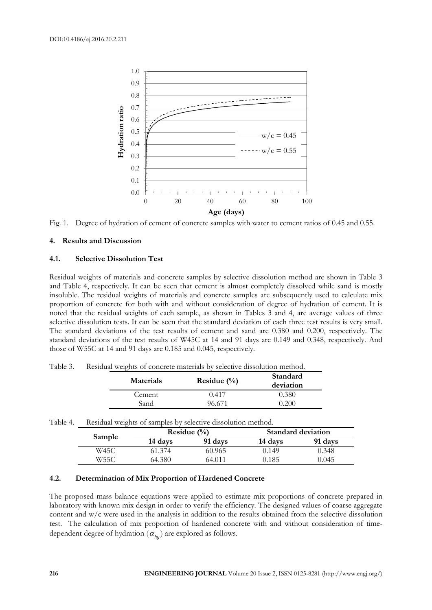

Fig. 1. Degree of hydration of cement of concrete samples with water to cement ratios of 0.45 and 0.55.

# **4. Results and Discussion**

#### **4.1. Selective Dissolution Test**

Residual weights of materials and concrete samples by selective dissolution method are shown in Table 3 and Table 4, respectively. It can be seen that cement is almost completely dissolved while sand is mostly insoluble. The residual weights of materials and concrete samples are subsequently used to calculate mix proportion of concrete for both with and without consideration of degree of hydration of cement. It is noted that the residual weights of each sample, as shown in Tables 3 and 4, are average values of three selective dissolution tests. It can be seen that the standard deviation of each three test results is very small. The standard deviations of the test results of cement and sand are 0.380 and 0.200, respectively. The standard deviations of the test results of W45C at 14 and 91 days are 0.149 and 0.348, respectively. And those of W55C at 14 and 91 days are 0.185 and 0.045, respectively.

| <b>Materials</b> | Residue $(\%)$ | Standard<br>deviation |  |  |
|------------------|----------------|-----------------------|--|--|
| Cement           | 0.417          | 0.380                 |  |  |
| Sand             | 96.671         | 0.200                 |  |  |

Table 3. Residual weights of concrete materials by selective dissolution method.

| Table 4. | Residual weights of samples by selective dissolution method. |         |                 |                           |         |  |  |  |
|----------|--------------------------------------------------------------|---------|-----------------|---------------------------|---------|--|--|--|
|          |                                                              |         | Residue $(\% )$ | <b>Standard deviation</b> |         |  |  |  |
|          | Sample                                                       | 14 days | 91 days         | 14 days                   | 91 days |  |  |  |
|          | W45C                                                         | 61.374  | 60.965          | 0.149                     | 0.348   |  |  |  |
|          | W55C                                                         | 64.380  | 64.011          | ).185                     | 0.045   |  |  |  |

#### **4.2. Determination of Mix Proportion of Hardened Concrete**

The proposed mass balance equations were applied to estimate mix proportions of concrete prepared in laboratory with known mix design in order to verify the efficiency. The designed values of coarse aggregate content and w/c were used in the analysis in addition to the results obtained from the selective dissolution test. The calculation of mix proportion of hardened concrete with and without consideration of timedependent degree of hydration ( *hy* ) are explored as follows.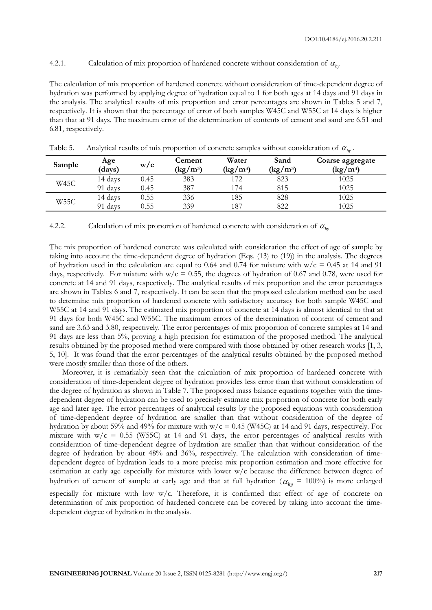# 4.2.1. Calculation of mix proportion of hardened concrete without consideration of  $\alpha_{h_y}$

The calculation of mix proportion of hardened concrete without consideration of time-dependent degree of hydration was performed by applying degree of hydration equal to 1 for both ages at 14 days and 91 days in the analysis. The analytical results of mix proportion and error percentages are shown in Tables 5 and 7, respectively. It is shown that the percentage of error of both samples W45C and W55C at 14 days is higher than that at 91 days. The maximum error of the determination of contents of cement and sand are 6.51 and 6.81, respectively.

| Sample | Age<br>(days) | W/c  | Cement<br>$\rm (kg/m^3)$ | Water<br>$\frac{\text{kg}}{\text{m}^3}$ | Sand<br>$\rm (kg/m^3)$ | Coarse aggregate<br>$\left(\frac{\text{kg}}{\text{m}^3}\right)$ |
|--------|---------------|------|--------------------------|-----------------------------------------|------------------------|-----------------------------------------------------------------|
| W45C   | 14 days       | 0.45 | 383                      | 172                                     | 823                    | 1025                                                            |
|        | 91 days       | 0.45 | 387                      | 174                                     | 815                    | 1025                                                            |
| W55C   | 14 days       | 0.55 | 336                      | 185                                     | 828                    | 1025                                                            |
|        | 91 days       | 0.55 | 339                      | 187                                     | 822                    | 1025                                                            |

Table 5. Analytical results of mix proportion of concrete samples without consideration of  $\alpha_{h_y}$ .

4.2.2. Calculation of mix proportion of hardened concrete with consideration of  $\alpha_{h_y}$ 

The mix proportion of hardened concrete was calculated with consideration the effect of age of sample by taking into account the time-dependent degree of hydration (Eqs. (13) to (19)) in the analysis. The degrees of hydration used in the calculation are equal to 0.64 and 0.74 for mixture with  $w/c = 0.45$  at 14 and 91 days, respectively. For mixture with  $w/c = 0.55$ , the degrees of hydration of 0.67 and 0.78, were used for concrete at 14 and 91 days, respectively. The analytical results of mix proportion and the error percentages are shown in Tables 6 and 7, respectively. It can be seen that the proposed calculation method can be used to determine mix proportion of hardened concrete with satisfactory accuracy for both sample W45C and W55C at 14 and 91 days. The estimated mix proportion of concrete at 14 days is almost identical to that at 91 days for both W45C and W55C. The maximum errors of the determination of content of cement and sand are 3.63 and 3.80, respectively. The error percentages of mix proportion of concrete samples at 14 and 91 days are less than 5%, proving a high precision for estimation of the proposed method. The analytical results obtained by the proposed method were compared with those obtained by other research works [1, 3, 5, 10]. It was found that the error percentages of the analytical results obtained by the proposed method were mostly smaller than those of the others.

Moreover, it is remarkably seen that the calculation of mix proportion of hardened concrete with consideration of time-dependent degree of hydration provides less error than that without consideration of the degree of hydration as shown in Table 7. The proposed mass balance equations together with the timedependent degree of hydration can be used to precisely estimate mix proportion of concrete for both early age and later age. The error percentages of analytical results by the proposed equations with consideration of time-dependent degree of hydration are smaller than that without consideration of the degree of hydration by about 59% and 49% for mixture with  $w/c = 0.45$  (W45C) at 14 and 91 days, respectively. For mixture with  $w/c = 0.55$  (W55C) at 14 and 91 days, the error percentages of analytical results with consideration of time-dependent degree of hydration are smaller than that without consideration of the degree of hydration by about 48% and 36%, respectively. The calculation with consideration of timedependent degree of hydration leads to a more precise mix proportion estimation and more effective for estimation at early age especially for mixtures with lower w/c because the difference between degree of hydration of cement of sample at early age and that at full hydration ( $\alpha_{hy} = 100\%$ ) is more enlarged especially for mixture with low  $w/c$ . Therefore, it is confirmed that effect of age of concrete on determination of mix proportion of hardened concrete can be covered by taking into account the timedependent degree of hydration in the analysis.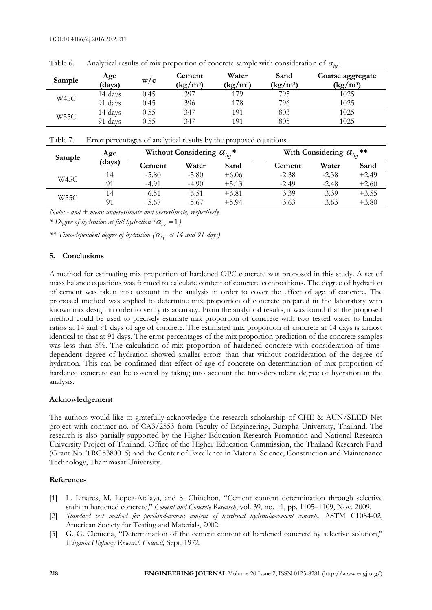| Sample | Age<br>(days) | W/C  | Cement<br>$\frac{\text{kg}}{\text{m}^3}$ | Water<br>$\left({\rm kg/m^3}\right)$ | Sand<br>$\left({\rm kg/m^3}\right)$ | Coarse aggregate<br>$\frac{\text{kg}}{\text{m}^3}$ |
|--------|---------------|------|------------------------------------------|--------------------------------------|-------------------------------------|----------------------------------------------------|
| W45C   | 14 days       | 0.45 | 397                                      | 179                                  | 795                                 | 1025                                               |
|        | 91 days       | 0.45 | 396                                      | 178                                  | 796                                 | 1025                                               |
| W55C   | 14 days       | 0.55 | 347                                      | 191                                  | 803                                 | 1025                                               |
|        | 91 days       | 0.55 | 347                                      | 191                                  | 805                                 | 1025                                               |

Table 6. Analytical results of mix proportion of concrete sample with consideration of  $\alpha_{h_y}$ .

Table 7. Error percentages of analytical results by the proposed equations.

| Sample      | Age    |         | Without Considering $\alpha_{hu}^*$ |         | With Considering $\alpha_{hu}$ ** |         |         |
|-------------|--------|---------|-------------------------------------|---------|-----------------------------------|---------|---------|
|             | (days) | Cement  | Water                               | Sand    | Cement                            | Water   | Sand    |
| <b>W45C</b> | l 4    | $-5.80$ | $-5.80$                             | $+6.06$ | $-2.38$                           | $-2.38$ | $+2.49$ |
|             | 91     | $-4.91$ | $-4.90$                             | $+5.13$ | $-2.49$                           | $-2.48$ | $+2.60$ |
| <b>W55C</b> | 14     | $-6.51$ | $-6.51$                             | $+6.81$ | $-3.39$                           | $-3.39$ | $+3.55$ |
|             |        | $-5.67$ | $-5.67$                             | $+5.94$ | $-3.63$                           | $-3.63$ | $+3.80$ |

*Note: - and + mean underestimate and overestimate, respectively.*

*\** Degree of hydration at full hydration ( $\alpha_{hy} = 1$ )

*\*\* Time-dependent degree of hydration ( hy at 14 and 91 days)*

# **5. Conclusions**

A method for estimating mix proportion of hardened OPC concrete was proposed in this study. A set of mass balance equations was formed to calculate content of concrete compositions. The degree of hydration of cement was taken into account in the analysis in order to cover the effect of age of concrete. The proposed method was applied to determine mix proportion of concrete prepared in the laboratory with known mix design in order to verify its accuracy. From the analytical results, it was found that the proposed method could be used to precisely estimate mix proportion of concrete with two tested water to binder ratios at 14 and 91 days of age of concrete. The estimated mix proportion of concrete at 14 days is almost identical to that at 91 days. The error percentages of the mix proportion prediction of the concrete samples was less than 5%. The calculation of mix proportion of hardened concrete with consideration of timedependent degree of hydration showed smaller errors than that without consideration of the degree of hydration. This can be confirmed that effect of age of concrete on determination of mix proportion of hardened concrete can be covered by taking into account the time-dependent degree of hydration in the analysis.

# **Acknowledgement**

The authors would like to gratefully acknowledge the research scholarship of CHE & AUN/SEED Net project with contract no. of CA3/2553 from Faculty of Engineering, Burapha University, Thailand. The research is also partially supported by the Higher Education Research Promotion and National Research University Project of Thailand, Office of the Higher Education Commission, the Thailand Research Fund (Grant No. TRG5380015) and the Center of Excellence in Material Science, Construction and Maintenance Technology, Thammasat University.

# **References**

- [1] L. Linares, M. Lopez-Atalaya, and S. Chinchon, "Cement content determination through selective stain in hardened concrete," *Cement and Concrete Research*, vol. 39, no. 11, pp. 1105–1109, Nov. 2009.
- [2] *Standard test method for portland-cement content of hardened hydraulic-cement concrete*, ASTM C1084-02, American Society for Testing and Materials, 2002.
- [3] G. G. Clemena, "Determination of the cement content of hardened concrete by selective solution," *Virginia Highway Research Council,* Sept. 1972.